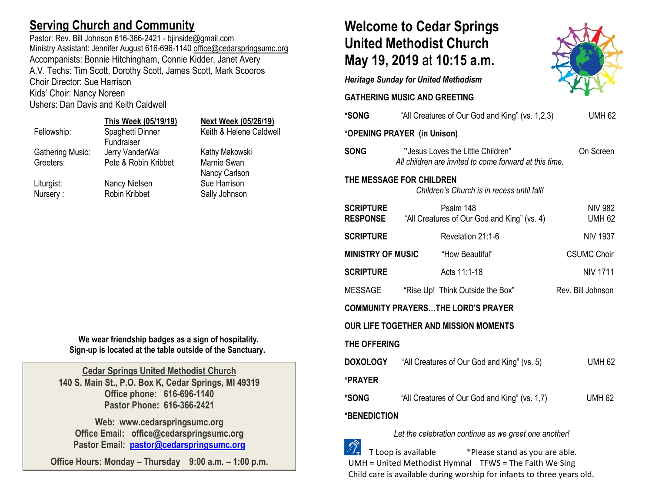## **Serving Church and Community**

Pastor: Rev. Bill Johnson 616-366-2421 - bjinside@gmail.com Ministry Assistant: Jennifer August 616-696-1140 [office@cedarspringsumc.org](mailto:office@cedarspringsumc.org) Accompanists: Bonnie Hitchingham, Connie Kidder, Janet Avery A.V. Techs: Tim Scott, Dorothy Scott, James Scott, Mark Scooros Choir Director: Sue Harrison Kids' Choir: Nancy Noreen

Ushers: Dan Davis and Keith Caldwell

# **This Week (05/19/19) Next Week (05/26/19)** Fundraiser

| Fellowship:             | Spaghetti Dinner     | Keith & Helene Caldwell |
|-------------------------|----------------------|-------------------------|
|                         | Fundraiser           |                         |
| <b>Gathering Music:</b> | Jerry VanderWal      | Kathy Makowski          |
| Greeters:               | Pete & Robin Kribbet | Marnie Swan             |
|                         |                      | Nancy Carlson           |
| Liturgist:              | Nancy Nielsen        | Sue Harrison            |
| Nursery:                | Robin Kribbet        | Sally Johnson           |
|                         |                      |                         |

**We wear friendship badges as a sign of hospitality. Sign-up is located at the table outside of the Sanctuary.**

**Cedar Springs United Methodist Church 140 S. Main St., P.O. Box K, Cedar Springs, MI 49319 Office phone: 616-696-1140 Pastor Phone: 616-366-2421**

**Web: www.cedarspringsumc.org Office Email: office@cedarspringsumc.org Pastor Email: [pastor@cedarspringsumc.org](mailto:pastor@cedarspringsumc.org)**

**Office Hours: Monday – Thursday 9:00 a.m. – 1:00 p.m.**

# **Welcome to Cedar Springs United Methodist Church May 19, 2019** at **10:15 a.m.**

*Heritage Sunday for United Methodism*

**GATHERING MUSIC AND GREETING** 

|                                                                        |  | * <b>SONG</b> "All Creatures of Our God and King" (vs. 1,2,3)                               | <b>UMH 62</b>                   |  |
|------------------------------------------------------------------------|--|---------------------------------------------------------------------------------------------|---------------------------------|--|
| *OPENING PRAYER (in Unison)                                            |  |                                                                                             |                                 |  |
| <b>SONG</b>                                                            |  | "Jesus Loves the Little Children"<br>All children are invited to come forward at this time. | On Screen                       |  |
| THE MESSAGE FOR CHILDREN<br>Children's Church is in recess until fall! |  |                                                                                             |                                 |  |
| <b>SCRIPTURE</b>                                                       |  | Psalm 148<br><b>RESPONSE</b> "All Creatures of Our God and King" (vs. 4)                    | <b>NIV 982</b><br><b>UMH 62</b> |  |
| <b>SCRIPTURE</b>                                                       |  | Revelation 21:1-6                                                                           | <b>NIV 1937</b>                 |  |
| <b>MINISTRY OF MUSIC</b>                                               |  | "How Beautiful"                                                                             | <b>CSUMC Choir</b>              |  |
| <b>SCRIPTURE</b>                                                       |  | Acts 11:1-18                                                                                | <b>NIV 1711</b>                 |  |
| MESSAGE                                                                |  | "Rise Up! Think Outside the Box"                                                            | Rev. Bill Johnson               |  |
| <b>COMMUNITY PRAYERSTHE LORD'S PRAYER</b>                              |  |                                                                                             |                                 |  |
| <b>OUR LIFE TOGETHER AND MISSION MOMENTS</b>                           |  |                                                                                             |                                 |  |
| THE OFFERING                                                           |  |                                                                                             |                                 |  |
|                                                                        |  | <b>DOXOLOGY</b> "All Creatures of Our God and King" (vs. 5)                                 | <b>UMH 62</b>                   |  |
| *PRAYER                                                                |  |                                                                                             |                                 |  |
| *SONG                                                                  |  | "All Creatures of Our God and King" (vs. 1,7)                                               | <b>UMH 62</b>                   |  |
| <b>*BENEDICTION</b>                                                    |  |                                                                                             |                                 |  |
|                                                                        |  |                                                                                             |                                 |  |



*Let the celebration continue as we greet one another!*

 T Loop is available \*Please stand as you are able. UMH = United Methodist Hymnal TFWS = The Faith We Sing Child care is available during worship for infants to three years old.